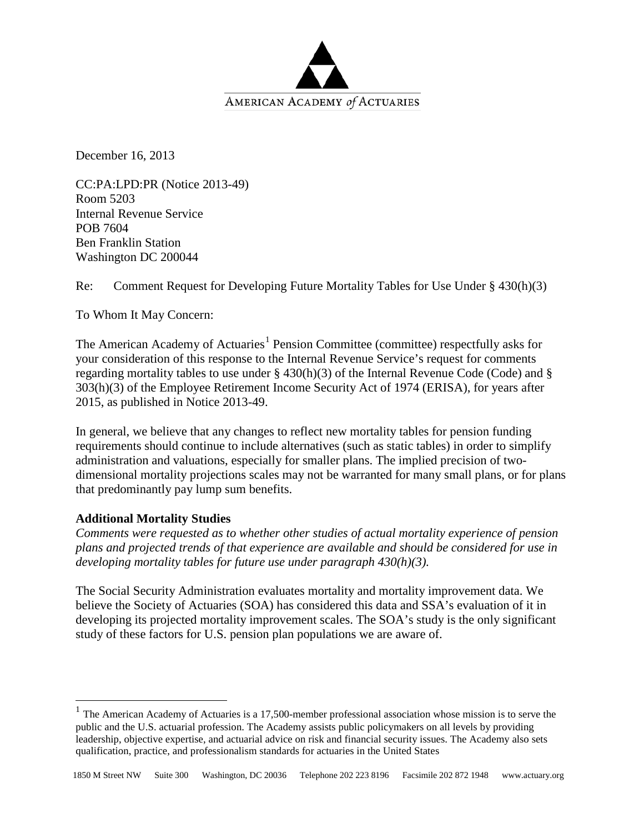

December 16, 2013

CC:PA:LPD:PR (Notice 2013-49) Room 5203 Internal Revenue Service POB 7604 Ben Franklin Station Washington DC 200044

Re: Comment Request for Developing Future Mortality Tables for Use Under § 430(h)(3)

To Whom It May Concern:

The American Academy of Actuaries<sup>[1](#page-0-0)</sup> Pension Committee (committee) respectfully asks for your consideration of this response to the Internal Revenue Service's request for comments regarding mortality tables to use under § 430(h)(3) of the Internal Revenue Code (Code) and § 303(h)(3) of the Employee Retirement Income Security Act of 1974 (ERISA), for years after 2015, as published in Notice 2013-49.

In general, we believe that any changes to reflect new mortality tables for pension funding requirements should continue to include alternatives (such as static tables) in order to simplify administration and valuations, especially for smaller plans. The implied precision of twodimensional mortality projections scales may not be warranted for many small plans, or for plans that predominantly pay lump sum benefits.

# **Additional Mortality Studies**

*Comments were requested as to whether other studies of actual mortality experience of pension plans and projected trends of that experience are available and should be considered for use in developing mortality tables for future use under paragraph 430(h)(3).*

The Social Security Administration evaluates mortality and mortality improvement data. We believe the Society of Actuaries (SOA) has considered this data and SSA's evaluation of it in developing its projected mortality improvement scales. The SOA's study is the only significant study of these factors for U.S. pension plan populations we are aware of.

<span id="page-0-0"></span> $1$  The American Academy of Actuaries is a 17,500-member professional association whose mission is to serve the public and the U.S. actuarial profession. The Academy assists public policymakers on all levels by providing leadership, objective expertise, and actuarial advice on risk and financial security issues. The Academy also sets qualification, practice, and professionalism standards for actuaries in the United States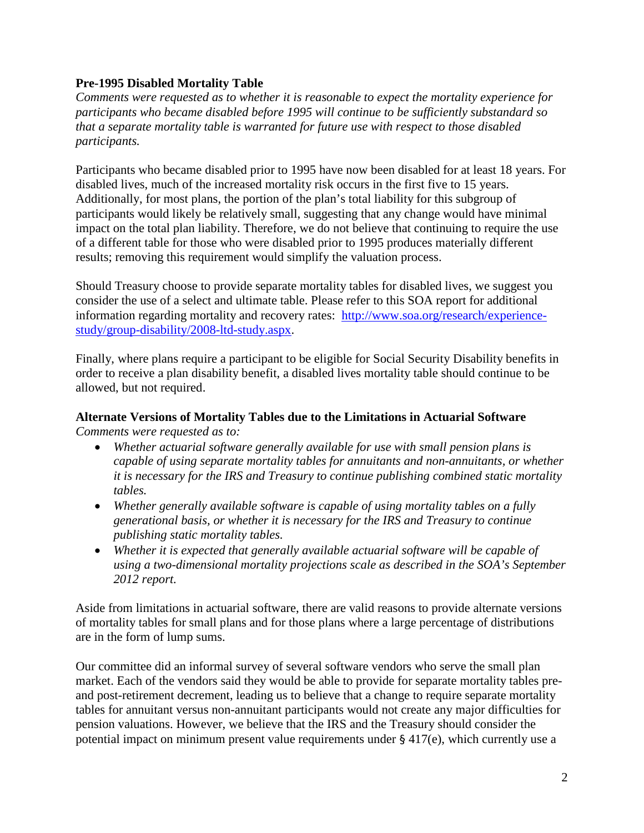# **Pre-1995 Disabled Mortality Table**

*Comments were requested as to whether it is reasonable to expect the mortality experience for participants who became disabled before 1995 will continue to be sufficiently substandard so that a separate mortality table is warranted for future use with respect to those disabled participants.*

Participants who became disabled prior to 1995 have now been disabled for at least 18 years. For disabled lives, much of the increased mortality risk occurs in the first five to 15 years. Additionally, for most plans, the portion of the plan's total liability for this subgroup of participants would likely be relatively small, suggesting that any change would have minimal impact on the total plan liability. Therefore, we do not believe that continuing to require the use of a different table for those who were disabled prior to 1995 produces materially different results; removing this requirement would simplify the valuation process.

Should Treasury choose to provide separate mortality tables for disabled lives, we suggest you consider the use of a select and ultimate table. Please refer to this SOA report for additional information regarding mortality and recovery rates: [http://www.soa.org/research/experience](http://www.soa.org/research/experience-study/group-disability/2008-ltd-study.aspx)[study/group-disability/2008-ltd-study.aspx.](http://www.soa.org/research/experience-study/group-disability/2008-ltd-study.aspx)

Finally, where plans require a participant to be eligible for Social Security Disability benefits in order to receive a plan disability benefit, a disabled lives mortality table should continue to be allowed, but not required.

# **Alternate Versions of Mortality Tables due to the Limitations in Actuarial Software** *Comments were requested as to:*

- *Whether actuarial software generally available for use with small pension plans is capable of using separate mortality tables for annuitants and non-annuitants, or whether it is necessary for the IRS and Treasury to continue publishing combined static mortality tables.*
- *Whether generally available software is capable of using mortality tables on a fully generational basis, or whether it is necessary for the IRS and Treasury to continue publishing static mortality tables.*
- *Whether it is expected that generally available actuarial software will be capable of using a two-dimensional mortality projections scale as described in the SOA's September 2012 report.*

Aside from limitations in actuarial software, there are valid reasons to provide alternate versions of mortality tables for small plans and for those plans where a large percentage of distributions are in the form of lump sums.

Our committee did an informal survey of several software vendors who serve the small plan market. Each of the vendors said they would be able to provide for separate mortality tables preand post-retirement decrement, leading us to believe that a change to require separate mortality tables for annuitant versus non-annuitant participants would not create any major difficulties for pension valuations. However, we believe that the IRS and the Treasury should consider the potential impact on minimum present value requirements under § 417(e), which currently use a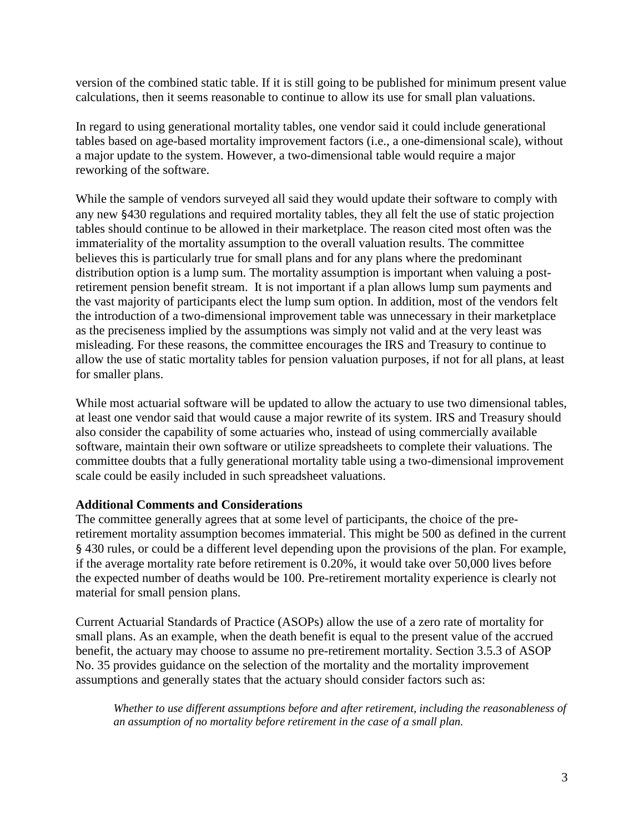version of the combined static table. If it is still going to be published for minimum present value calculations, then it seems reasonable to continue to allow its use for small plan valuations.

In regard to using generational mortality tables, one vendor said it could include generational tables based on age-based mortality improvement factors (i.e., a one-dimensional scale), without a major update to the system. However, a two-dimensional table would require a major reworking of the software.

While the sample of vendors surveyed all said they would update their software to comply with any new §430 regulations and required mortality tables, they all felt the use of static projection tables should continue to be allowed in their marketplace. The reason cited most often was the immateriality of the mortality assumption to the overall valuation results. The committee believes this is particularly true for small plans and for any plans where the predominant distribution option is a lump sum. The mortality assumption is important when valuing a postretirement pension benefit stream. It is not important if a plan allows lump sum payments and the vast majority of participants elect the lump sum option. In addition, most of the vendors felt the introduction of a two-dimensional improvement table was unnecessary in their marketplace as the preciseness implied by the assumptions was simply not valid and at the very least was misleading. For these reasons, the committee encourages the IRS and Treasury to continue to allow the use of static mortality tables for pension valuation purposes, if not for all plans, at least for smaller plans.

While most actuarial software will be updated to allow the actuary to use two dimensional tables, at least one vendor said that would cause a major rewrite of its system. IRS and Treasury should also consider the capability of some actuaries who, instead of using commercially available software, maintain their own software or utilize spreadsheets to complete their valuations. The committee doubts that a fully generational mortality table using a two-dimensional improvement scale could be easily included in such spreadsheet valuations.

# **Additional Comments and Considerations**

The committee generally agrees that at some level of participants, the choice of the preretirement mortality assumption becomes immaterial. This might be 500 as defined in the current § 430 rules, or could be a different level depending upon the provisions of the plan. For example, if the average mortality rate before retirement is 0.20%, it would take over 50,000 lives before the expected number of deaths would be 100. Pre-retirement mortality experience is clearly not material for small pension plans.

Current Actuarial Standards of Practice (ASOPs) allow the use of a zero rate of mortality for small plans. As an example, when the death benefit is equal to the present value of the accrued benefit, the actuary may choose to assume no pre-retirement mortality. Section 3.5.3 of ASOP No. 35 provides guidance on the selection of the mortality and the mortality improvement assumptions and generally states that the actuary should consider factors such as:

*Whether to use different assumptions before and after retirement, including the reasonableness of an assumption of no mortality before retirement in the case of a small plan.*